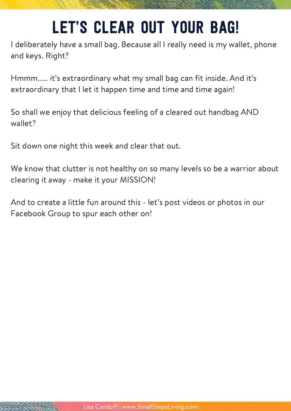## Let's clear out your bag!

I deliberately have a small bag. Because all I really need is my wallet, phone and keys. Right?

Hmmm…… it's extraordinary what my small bag can fit inside. And it's extraordinary that I let it happen time and time and time again!

So shall we enjoy that delicious feeling of a cleared out handbag AND wallet?

Sit down one night this week and clear that out.

We know that clutter is not healthy on so many levels so be a warrior about clearing it away - make it your MISSION!

And to create a little fun around this - let's post videos or photos in our Facebook Group to spur each other on!